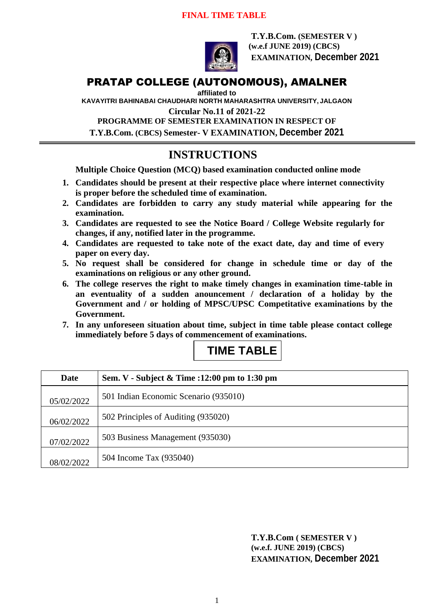#### **FINAL TIME TABLE**



**T.Y.B.Com. (SEMESTER V ) (w.e.f JUNE 2019) (CBCS) EXAMINATION, December 2021**

### PRATAP COLLEGE (AUTONOMOUS), AMALNER

**affiliated to** 

**KAVAYITRI BAHINABAI CHAUDHARI NORTH MAHARASHTRA UNIVERSITY, JALGAON**

**Circular No.11 of 2021-22**

**PROGRAMME OF SEMESTER EXAMINATION IN RESPECT OF T.Y.B.Com. (CBCS) Semester- V EXAMINATION, December 2021**

## **INSTRUCTIONS**

**Multiple Choice Question (MCQ) based examination conducted online mode**

- **1. Candidates should be present at their respective place where internet connectivity is proper before the scheduled time of examination.**
- **2. Candidates are forbidden to carry any study material while appearing for the examination.**
- **3. Candidates are requested to see the Notice Board / College Website regularly for changes, if any, notified later in the programme.**
- **4. Candidates are requested to take note of the exact date, day and time of every paper on every day.**
- **5. No request shall be considered for change in schedule time or day of the examinations on religious or any other ground.**
- **6. The college reserves the right to make timely changes in examination time-table in an eventuality of a sudden anouncement / declaration of a holiday by the Government and / or holding of MPSC/UPSC Competitative examinations by the Government.**
- **7. In any unforeseen situation about time, subject in time table please contact college immediately before 5 days of commencement of examinations.**

# **TIME TABLE**

| Date       | Sem. V - Subject & Time :12:00 pm to 1:30 pm |
|------------|----------------------------------------------|
| 05/02/2022 | 501 Indian Economic Scenario (935010)        |
| 06/02/2022 | 502 Principles of Auditing (935020)          |
| 07/02/2022 | 503 Business Management (935030)             |
| 08/02/2022 | 504 Income Tax (935040)                      |

**T.Y.B.Com ( SEMESTER V ) (w.e.f. JUNE 2019) (CBCS) EXAMINATION, December 2021**